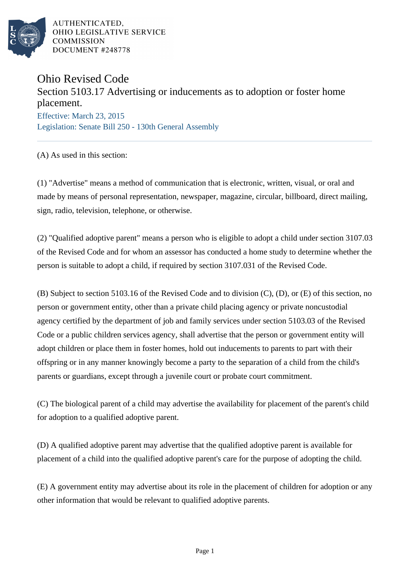

AUTHENTICATED. OHIO LEGISLATIVE SERVICE **COMMISSION** DOCUMENT #248778

## Ohio Revised Code

## Section 5103.17 Advertising or inducements as to adoption or foster home placement.

Effective: March 23, 2015 Legislation: Senate Bill 250 - 130th General Assembly

(A) As used in this section:

(1) "Advertise" means a method of communication that is electronic, written, visual, or oral and made by means of personal representation, newspaper, magazine, circular, billboard, direct mailing, sign, radio, television, telephone, or otherwise.

(2) "Qualified adoptive parent" means a person who is eligible to adopt a child under section 3107.03 of the Revised Code and for whom an assessor has conducted a home study to determine whether the person is suitable to adopt a child, if required by section 3107.031 of the Revised Code.

(B) Subject to section 5103.16 of the Revised Code and to division (C), (D), or (E) of this section, no person or government entity, other than a private child placing agency or private noncustodial agency certified by the department of job and family services under section 5103.03 of the Revised Code or a public children services agency, shall advertise that the person or government entity will adopt children or place them in foster homes, hold out inducements to parents to part with their offspring or in any manner knowingly become a party to the separation of a child from the child's parents or guardians, except through a juvenile court or probate court commitment.

(C) The biological parent of a child may advertise the availability for placement of the parent's child for adoption to a qualified adoptive parent.

(D) A qualified adoptive parent may advertise that the qualified adoptive parent is available for placement of a child into the qualified adoptive parent's care for the purpose of adopting the child.

(E) A government entity may advertise about its role in the placement of children for adoption or any other information that would be relevant to qualified adoptive parents.